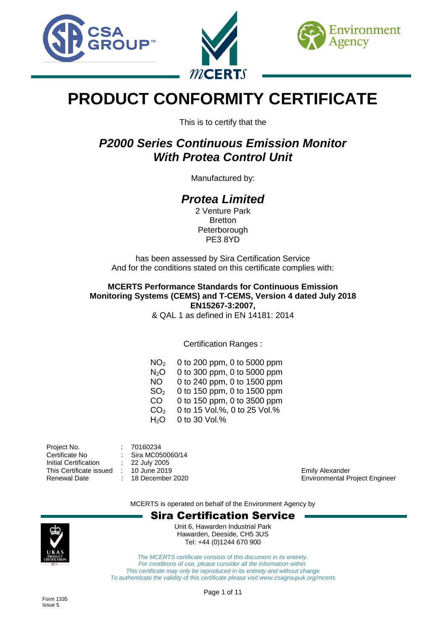





# **PRODUCT CONFORMITY CERTIFICATE**

This is to certify that the

## *P2000 Series Continuous Emission Monitor With Protea Control Unit*

Manufactured by:

## *Protea Limited*

2 Venture Park **Bretton** Peterborough PE3 8YD

has been assessed by Sira Certification Service And for the conditions stated on this certificate complies with:

**MCERTS Performance Standards for Continuous Emission Monitoring Systems (CEMS) and T-CEMS, Version 4 dated July 2018 EN15267-3:2007,** & QAL 1 as defined in EN 14181: 2014

Certification Ranges :

 $NO<sub>2</sub>$  0 to 200 ppm, 0 to 5000 ppm  $N<sub>2</sub>O$  0 to 300 ppm, 0 to 5000 ppm NO 0 to 240 ppm, 0 to 1500 ppm SO<sup>2</sup> 0 to 150 ppm, 0 to 1500 ppm CO 0 to 150 ppm, 0 to 3500 ppm  $CO<sub>2</sub>$  0 to 15 Vol.%, 0 to 25 Vol.%  $H<sub>2</sub>O$  0 to 30 Vol.%

Project No. : 70160234<br>Certificate No : Sira MC05 : Sira MC050060/14<br>: 22 July 2005 Initial Certification : This Certificate issued : 10 June 2019 Emily Alexander Renewal Date : 18 December 2020 Environmental Project Engineer

MCERTS is operated on behalf of the Environment Agency by

### Sira Certification Service



Unit 6, Hawarden Industrial Park Hawarden, Deeside, CH5 3US Tel: +44 (0)1244 670 900

*The MCERTS certificate consists of this document in its entirety. For conditions of use, please consider all the information within. This certificate may only be reproduced in its entirety and without change To authenticate the validity of this certificate please visit www.csagroupuk.org/mcerts*

Page 1 of 11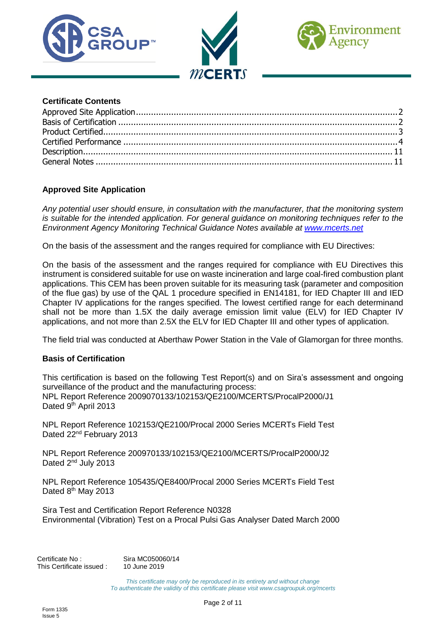





#### **Certificate Contents**

#### <span id="page-1-0"></span>**Approved Site Application**

*Any potential user should ensure, in consultation with the manufacturer, that the monitoring system is suitable for the intended application. For general guidance on monitoring techniques refer to the Environment Agency Monitoring Technical Guidance Notes available at [www.mcerts.net](http://www.mcerts.net/)*

On the basis of the assessment and the ranges required for compliance with EU Directives:

On the basis of the assessment and the ranges required for compliance with EU Directives this instrument is considered suitable for use on waste incineration and large coal-fired combustion plant applications. This CEM has been proven suitable for its measuring task (parameter and composition of the flue gas) by use of the QAL 1 procedure specified in EN14181, for IED Chapter III and IED Chapter IV applications for the ranges specified. The lowest certified range for each determinand shall not be more than 1.5X the daily average emission limit value (ELV) for IED Chapter IV applications, and not more than 2.5X the ELV for IED Chapter III and other types of application.

<span id="page-1-1"></span>The field trial was conducted at Aberthaw Power Station in the Vale of Glamorgan for three months.

#### **Basis of Certification**

This certification is based on the following Test Report(s) and on Sira's assessment and ongoing surveillance of the product and the manufacturing process: NPL Report Reference 2009070133/102153/QE2100/MCERTS/ProcalP2000/J1 Dated 9th April 2013

NPL Report Reference 102153/QE2100/Procal 2000 Series MCERTs Field Test Dated 22<sup>nd</sup> February 2013

NPL Report Reference 200970133/102153/QE2100/MCERTS/ProcalP2000/J2 Dated 2<sup>nd</sup> July 2013

NPL Report Reference 105435/QE8400/Procal 2000 Series MCERTs Field Test Dated 8<sup>th</sup> May 2013

Sira Test and Certification Report Reference N0328 Environmental (Vibration) Test on a Procal Pulsi Gas Analyser Dated March 2000

Certificate No: Sira MC050060/14 This Certificate issued : 10 June 2019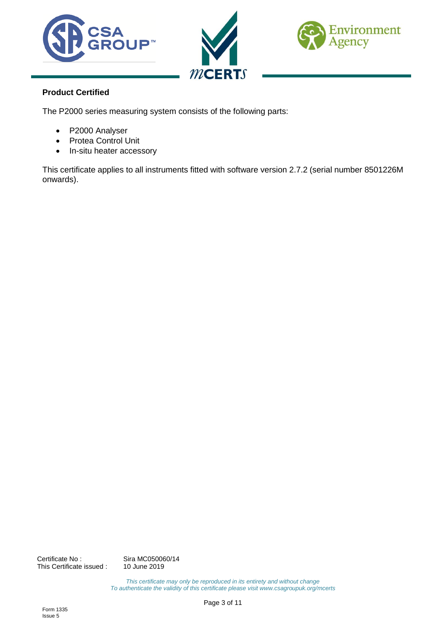





### <span id="page-2-0"></span>**Product Certified**

The P2000 series measuring system consists of the following parts:

- P2000 Analyser
- Protea Control Unit
- In-situ heater accessory

This certificate applies to all instruments fitted with software version 2.7.2 (serial number 8501226M onwards).

Certificate No : Sira MC050060/14<br>This Certificate issued : 10 June 2019 This Certificate issued :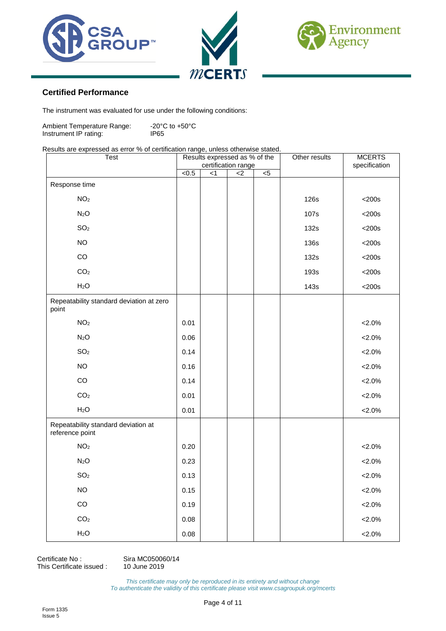





#### <span id="page-3-0"></span>**Certified Performance**

The instrument was evaluated for use under the following conditions:

Ambient Temperature Range: -20°C to +50°C<br>Instrument IP rating: IP65 Instrument IP rating:

#### Results are expressed as error % of certification range, unless otherwise stated.

| Test                                                   | Results expressed as % of the<br>certification range |     |       |    | Other results | <b>MCERTS</b> |
|--------------------------------------------------------|------------------------------------------------------|-----|-------|----|---------------|---------------|
|                                                        | <0.5                                                 | < 1 | $<$ 2 | 5< |               | specification |
| Response time                                          |                                                      |     |       |    |               |               |
| NO <sub>2</sub>                                        |                                                      |     |       |    | 126s          | $<$ 200s      |
| N <sub>2</sub> O                                       |                                                      |     |       |    | 107s          | $<$ 200s      |
| SO <sub>2</sub>                                        |                                                      |     |       |    | 132s          | $<$ 200s      |
| <b>NO</b>                                              |                                                      |     |       |    | <b>136s</b>   | $<$ 200s      |
| CO                                                     |                                                      |     |       |    | 132s          | $<$ 200s      |
| CO <sub>2</sub>                                        |                                                      |     |       |    | 193s          | $<$ 200s      |
| H <sub>2</sub> O                                       |                                                      |     |       |    | 143s          | $<$ 200s      |
| Repeatability standard deviation at zero<br>point      |                                                      |     |       |    |               |               |
| NO <sub>2</sub>                                        | 0.01                                                 |     |       |    |               | $< 2.0\%$     |
| N <sub>2</sub> O                                       | 0.06                                                 |     |       |    |               | $< 2.0\%$     |
| SO <sub>2</sub>                                        | 0.14                                                 |     |       |    |               | $< 2.0\%$     |
| <b>NO</b>                                              | 0.16                                                 |     |       |    |               | $< 2.0\%$     |
| CO                                                     | 0.14                                                 |     |       |    |               | $< 2.0\%$     |
| CO <sub>2</sub>                                        | 0.01                                                 |     |       |    |               | $< 2.0\%$     |
| H <sub>2</sub> O                                       | 0.01                                                 |     |       |    |               | $< 2.0\%$     |
| Repeatability standard deviation at<br>reference point |                                                      |     |       |    |               |               |
| NO <sub>2</sub>                                        | 0.20                                                 |     |       |    |               | $< 2.0\%$     |
| N <sub>2</sub> O                                       | 0.23                                                 |     |       |    |               | $< 2.0\%$     |
| SO <sub>2</sub>                                        | 0.13                                                 |     |       |    |               | $2.0\%$       |
| <b>NO</b>                                              | 0.15                                                 |     |       |    |               | $< 2.0\%$     |
| CO                                                     | 0.19                                                 |     |       |    |               | $< 2.0\%$     |
| CO <sub>2</sub>                                        | 0.08                                                 |     |       |    |               | $< 2.0\%$     |
| H <sub>2</sub> O                                       | 0.08                                                 |     |       |    |               | $< 2.0\%$     |

Certificate No : Sira MC050060/14<br>This Certificate issued : 10 June 2019 This Certificate issued :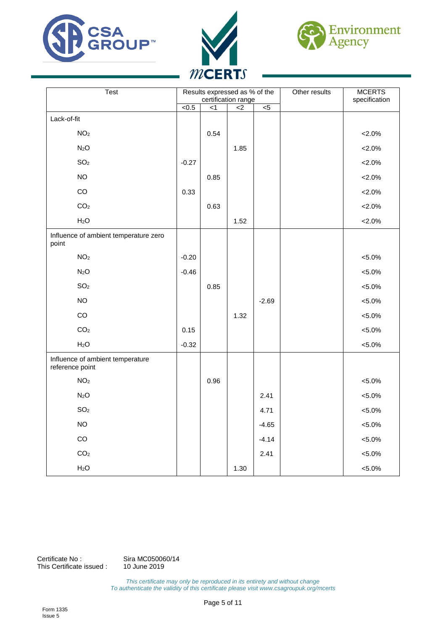





| Test                                                | Results expressed as % of the<br>certification range |        |                |                | Other results | <b>MCERTS</b><br>specification |
|-----------------------------------------------------|------------------------------------------------------|--------|----------------|----------------|---------------|--------------------------------|
|                                                     | < 0.5                                                | $\leq$ | $\overline{2}$ | $\overline{5}$ |               |                                |
| Lack-of-fit                                         |                                                      |        |                |                |               |                                |
| NO <sub>2</sub>                                     |                                                      | 0.54   |                |                |               | $< 2.0\%$                      |
| N <sub>2</sub> O                                    |                                                      |        | 1.85           |                |               | $< 2.0\%$                      |
| SO <sub>2</sub>                                     | $-0.27$                                              |        |                |                |               | $< 2.0\%$                      |
| <b>NO</b>                                           |                                                      | 0.85   |                |                |               | ${<}2.0\%$                     |
| CO                                                  | 0.33                                                 |        |                |                |               | ${<}2.0\%$                     |
| CO <sub>2</sub>                                     |                                                      | 0.63   |                |                |               | $< 2.0\%$                      |
| H <sub>2</sub> O                                    |                                                      |        | 1.52           |                |               | $< 2.0\%$                      |
| Influence of ambient temperature zero<br>point      |                                                      |        |                |                |               |                                |
| NO <sub>2</sub>                                     | $-0.20$                                              |        |                |                |               | $< 5.0\%$                      |
| N <sub>2</sub> O                                    | $-0.46$                                              |        |                |                |               | ${<}5.0\%$                     |
| SO <sub>2</sub>                                     |                                                      | 0.85   |                |                |               | $< 5.0\%$                      |
| <b>NO</b>                                           |                                                      |        |                | $-2.69$        |               | $< 5.0\%$                      |
| $_{\rm CO}$                                         |                                                      |        | 1.32           |                |               | $< 5.0\%$                      |
| CO <sub>2</sub>                                     | 0.15                                                 |        |                |                |               | $< 5.0\%$                      |
| H <sub>2</sub> O                                    | $-0.32$                                              |        |                |                |               | $< 5.0\%$                      |
| Influence of ambient temperature<br>reference point |                                                      |        |                |                |               |                                |
| NO <sub>2</sub>                                     |                                                      | 0.96   |                |                |               | $< 5.0\%$                      |
| N <sub>2</sub> O                                    |                                                      |        |                | 2.41           |               | $< 5.0\%$                      |
| SO <sub>2</sub>                                     |                                                      |        |                | 4.71           |               | $< 5.0\%$                      |
| <b>NO</b>                                           |                                                      |        |                | $-4.65$        |               | $< 5.0\%$                      |
| $_{\rm CO}$                                         |                                                      |        |                | $-4.14$        |               | $< 5.0\%$                      |
| CO <sub>2</sub>                                     |                                                      |        |                | 2.41           |               | $< 5.0\%$                      |
| H <sub>2</sub> O                                    |                                                      |        | 1.30           |                |               | $< 5.0\%$                      |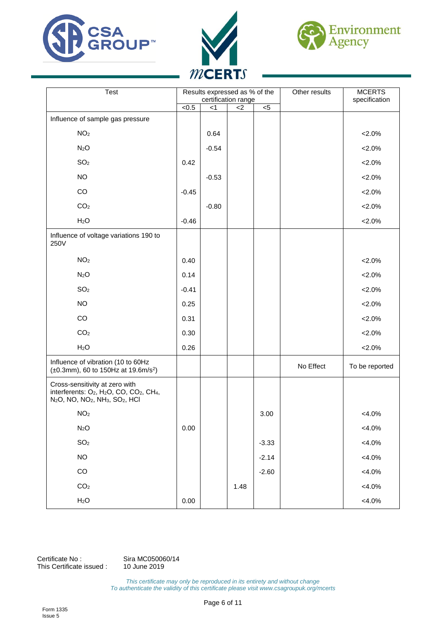





| Test                                                                                                                                                                                                          | Results expressed as % of the<br>certification range |         | Other results | <b>MCERTS</b><br>specification |           |                |
|---------------------------------------------------------------------------------------------------------------------------------------------------------------------------------------------------------------|------------------------------------------------------|---------|---------------|--------------------------------|-----------|----------------|
|                                                                                                                                                                                                               | < 0.5                                                | $<$ 1   | $2$           | $< 5$                          |           |                |
| Influence of sample gas pressure                                                                                                                                                                              |                                                      |         |               |                                |           |                |
| NO <sub>2</sub>                                                                                                                                                                                               |                                                      | 0.64    |               |                                |           | $< 2.0\%$      |
| N <sub>2</sub> O                                                                                                                                                                                              |                                                      | $-0.54$ |               |                                |           | $< 2.0\%$      |
| SO <sub>2</sub>                                                                                                                                                                                               | 0.42                                                 |         |               |                                |           | $< 2.0\%$      |
| <b>NO</b>                                                                                                                                                                                                     |                                                      | $-0.53$ |               |                                |           | $< 2.0\%$      |
| CO                                                                                                                                                                                                            | $-0.45$                                              |         |               |                                |           | $< 2.0\%$      |
| CO <sub>2</sub>                                                                                                                                                                                               |                                                      | $-0.80$ |               |                                |           | $< 2.0\%$      |
| H <sub>2</sub> O                                                                                                                                                                                              | $-0.46$                                              |         |               |                                |           | $< 2.0\%$      |
| Influence of voltage variations 190 to<br>250V                                                                                                                                                                |                                                      |         |               |                                |           |                |
| NO <sub>2</sub>                                                                                                                                                                                               | 0.40                                                 |         |               |                                |           | $< 2.0\%$      |
| N <sub>2</sub> O                                                                                                                                                                                              | 0.14                                                 |         |               |                                |           | $< 2.0\%$      |
| SO <sub>2</sub>                                                                                                                                                                                               | $-0.41$                                              |         |               |                                |           | $< 2.0\%$      |
| <b>NO</b>                                                                                                                                                                                                     | 0.25                                                 |         |               |                                |           | $< 2.0\%$      |
| CO                                                                                                                                                                                                            | 0.31                                                 |         |               |                                |           | $< 2.0\%$      |
| CO <sub>2</sub>                                                                                                                                                                                               | 0.30                                                 |         |               |                                |           | $< 2.0\%$      |
| H <sub>2</sub> O                                                                                                                                                                                              | 0.26                                                 |         |               |                                |           | $< 2.0\%$      |
| Influence of vibration (10 to 60Hz<br>$(\pm 0.3$ mm), 60 to 150Hz at 19.6m/s <sup>2</sup> )                                                                                                                   |                                                      |         |               |                                | No Effect | To be reported |
| Cross-sensitivity at zero with<br>interferents: O <sub>2</sub> , H <sub>2</sub> O, CO, CO <sub>2</sub> , CH <sub>4</sub> ,<br>N <sub>2</sub> O, NO, NO <sub>2</sub> , NH <sub>3</sub> , SO <sub>2</sub> , HCI |                                                      |         |               |                                |           |                |
| NO <sub>2</sub>                                                                                                                                                                                               |                                                      |         |               | 3.00                           |           | $<4.0\%$       |
| N <sub>2</sub> O                                                                                                                                                                                              | 0.00                                                 |         |               |                                |           | $<4.0\%$       |
| SO <sub>2</sub>                                                                                                                                                                                               |                                                      |         |               | $-3.33$                        |           | $<4.0\%$       |
| <b>NO</b>                                                                                                                                                                                                     |                                                      |         |               | $-2.14$                        |           | $<4.0\%$       |
| $_{\rm CO}$                                                                                                                                                                                                   |                                                      |         |               | $-2.60$                        |           | $<4.0\%$       |
| $\rm CO_2$                                                                                                                                                                                                    |                                                      |         | 1.48          |                                |           | $<4.0\%$       |
| H <sub>2</sub> O                                                                                                                                                                                              | 0.00                                                 |         |               |                                |           | $<4.0\%$       |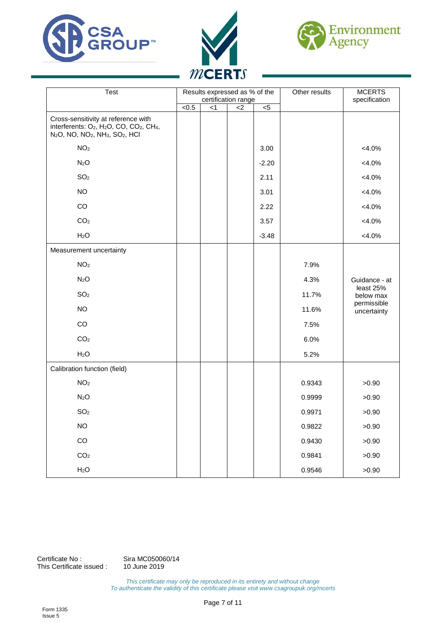





| <b>Test</b>                                                                                                                                                                                                        | Results expressed as % of the<br>certification range |       |       |                | Other results | <b>MCERTS</b><br>specification |  |
|--------------------------------------------------------------------------------------------------------------------------------------------------------------------------------------------------------------------|------------------------------------------------------|-------|-------|----------------|---------------|--------------------------------|--|
|                                                                                                                                                                                                                    | $\sqrt{6.5}$                                         | $<$ 1 | $<$ 2 | $\overline{5}$ |               |                                |  |
| Cross-sensitivity at reference with<br>interferents: O <sub>2</sub> , H <sub>2</sub> O, CO, CO <sub>2</sub> , CH <sub>4</sub> ,<br>N <sub>2</sub> O, NO, NO <sub>2</sub> , NH <sub>3</sub> , SO <sub>2</sub> , HCI |                                                      |       |       |                |               |                                |  |
| NO <sub>2</sub>                                                                                                                                                                                                    |                                                      |       |       | 3.00           |               | $<4.0\%$                       |  |
| N <sub>2</sub> O                                                                                                                                                                                                   |                                                      |       |       | $-2.20$        |               | $<4.0\%$                       |  |
| SO <sub>2</sub>                                                                                                                                                                                                    |                                                      |       |       | 2.11           |               | $<4.0\%$                       |  |
| <b>NO</b>                                                                                                                                                                                                          |                                                      |       |       | 3.01           |               | $<4.0\%$                       |  |
| CO                                                                                                                                                                                                                 |                                                      |       |       | 2.22           |               | $<4.0\%$                       |  |
| CO <sub>2</sub>                                                                                                                                                                                                    |                                                      |       |       | 3.57           |               | $<4.0\%$                       |  |
| H <sub>2</sub> O                                                                                                                                                                                                   |                                                      |       |       | $-3.48$        |               | $<4.0\%$                       |  |
| Measurement uncertainty                                                                                                                                                                                            |                                                      |       |       |                |               |                                |  |
| NO <sub>2</sub>                                                                                                                                                                                                    |                                                      |       |       |                | 7.9%          |                                |  |
| N <sub>2</sub> O                                                                                                                                                                                                   |                                                      |       |       |                | 4.3%          | Guidance - at                  |  |
| SO <sub>2</sub>                                                                                                                                                                                                    |                                                      |       |       |                | 11.7%         | least 25%<br>below max         |  |
| <b>NO</b>                                                                                                                                                                                                          |                                                      |       |       |                | 11.6%         | permissible<br>uncertainty     |  |
| CO                                                                                                                                                                                                                 |                                                      |       |       |                | 7.5%          |                                |  |
| CO <sub>2</sub>                                                                                                                                                                                                    |                                                      |       |       |                | 6.0%          |                                |  |
| H <sub>2</sub> O                                                                                                                                                                                                   |                                                      |       |       |                | 5.2%          |                                |  |
| Calibration function (field)                                                                                                                                                                                       |                                                      |       |       |                |               |                                |  |
| NO <sub>2</sub>                                                                                                                                                                                                    |                                                      |       |       |                | 0.9343        | >0.90                          |  |
| N <sub>2</sub> O                                                                                                                                                                                                   |                                                      |       |       |                | 0.9999        | >0.90                          |  |
| SO <sub>2</sub>                                                                                                                                                                                                    |                                                      |       |       |                | 0.9971        | >0.90                          |  |
| <b>NO</b>                                                                                                                                                                                                          |                                                      |       |       |                | 0.9822        | >0.90                          |  |
| CO                                                                                                                                                                                                                 |                                                      |       |       |                | 0.9430        | >0.90                          |  |
| CO <sub>2</sub>                                                                                                                                                                                                    |                                                      |       |       |                | 0.9841        | >0.90                          |  |
| H <sub>2</sub> O                                                                                                                                                                                                   |                                                      |       |       |                | 0.9546        | >0.90                          |  |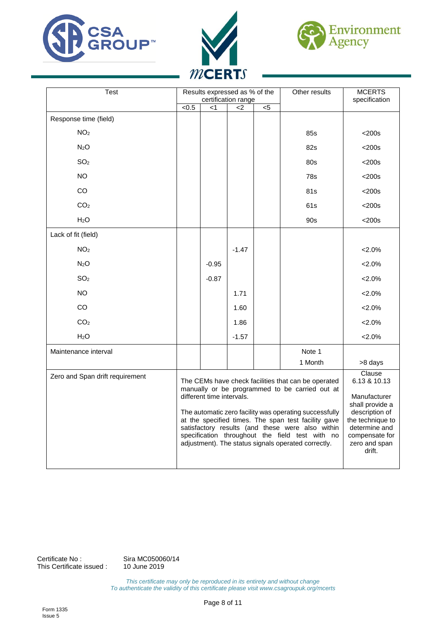





| Test                            | Results expressed as % of the<br>certification range                                                                                                                                                                                                                                                                                                                                                              |         |         |     | Other results | <b>MCERTS</b><br>specification                                                                                                                                |
|---------------------------------|-------------------------------------------------------------------------------------------------------------------------------------------------------------------------------------------------------------------------------------------------------------------------------------------------------------------------------------------------------------------------------------------------------------------|---------|---------|-----|---------------|---------------------------------------------------------------------------------------------------------------------------------------------------------------|
|                                 | $\sqrt{6.5}$                                                                                                                                                                                                                                                                                                                                                                                                      | <1      | <2      | $5$ |               |                                                                                                                                                               |
| Response time (field)           |                                                                                                                                                                                                                                                                                                                                                                                                                   |         |         |     |               |                                                                                                                                                               |
| NO <sub>2</sub>                 |                                                                                                                                                                                                                                                                                                                                                                                                                   |         |         |     | 85s           | $<$ 200s                                                                                                                                                      |
| N <sub>2</sub> O                |                                                                                                                                                                                                                                                                                                                                                                                                                   |         |         |     | 82s           | $<$ 200s                                                                                                                                                      |
| SO <sub>2</sub>                 |                                                                                                                                                                                                                                                                                                                                                                                                                   |         |         |     | 80s           | $<$ 200s                                                                                                                                                      |
| <b>NO</b>                       |                                                                                                                                                                                                                                                                                                                                                                                                                   |         |         |     | 78s           | $<$ 200s                                                                                                                                                      |
| <b>CO</b>                       |                                                                                                                                                                                                                                                                                                                                                                                                                   |         |         |     | 81s           | $<$ 200s                                                                                                                                                      |
| CO <sub>2</sub>                 |                                                                                                                                                                                                                                                                                                                                                                                                                   |         |         |     | 61s           | $<$ 200s                                                                                                                                                      |
| H <sub>2</sub> O                |                                                                                                                                                                                                                                                                                                                                                                                                                   |         |         |     | 90s           | $<$ 200s                                                                                                                                                      |
| Lack of fit (field)             |                                                                                                                                                                                                                                                                                                                                                                                                                   |         |         |     |               |                                                                                                                                                               |
| NO <sub>2</sub>                 |                                                                                                                                                                                                                                                                                                                                                                                                                   |         | $-1.47$ |     |               | $2.0\%$                                                                                                                                                       |
| N <sub>2</sub> O                |                                                                                                                                                                                                                                                                                                                                                                                                                   | $-0.95$ |         |     |               | $2.0\%$                                                                                                                                                       |
| SO <sub>2</sub>                 |                                                                                                                                                                                                                                                                                                                                                                                                                   | $-0.87$ |         |     |               | $2.0\%$                                                                                                                                                       |
| <b>NO</b>                       |                                                                                                                                                                                                                                                                                                                                                                                                                   |         | 1.71    |     |               | $2.0\%$                                                                                                                                                       |
| CO                              |                                                                                                                                                                                                                                                                                                                                                                                                                   |         | 1.60    |     |               | $2.0\%$                                                                                                                                                       |
| CO <sub>2</sub>                 |                                                                                                                                                                                                                                                                                                                                                                                                                   |         | 1.86    |     |               | 2.0%                                                                                                                                                          |
| H <sub>2</sub> O                |                                                                                                                                                                                                                                                                                                                                                                                                                   |         | $-1.57$ |     |               | 2.0%                                                                                                                                                          |
| Maintenance interval            |                                                                                                                                                                                                                                                                                                                                                                                                                   |         |         |     | Note 1        |                                                                                                                                                               |
|                                 |                                                                                                                                                                                                                                                                                                                                                                                                                   |         |         |     | 1 Month       | >8 days                                                                                                                                                       |
| Zero and Span drift requirement | The CEMs have check facilities that can be operated<br>manually or be programmed to be carried out at<br>different time intervals.<br>The automatic zero facility was operating successfully<br>at the specified times. The span test facility gave<br>satisfactory results (and these were also within<br>specification throughout the field test with no<br>adjustment). The status signals operated correctly. |         |         |     |               | Clause<br>6.13 & 10.13<br>Manufacturer<br>shall provide a<br>description of<br>the technique to<br>determine and<br>compensate for<br>zero and span<br>drift. |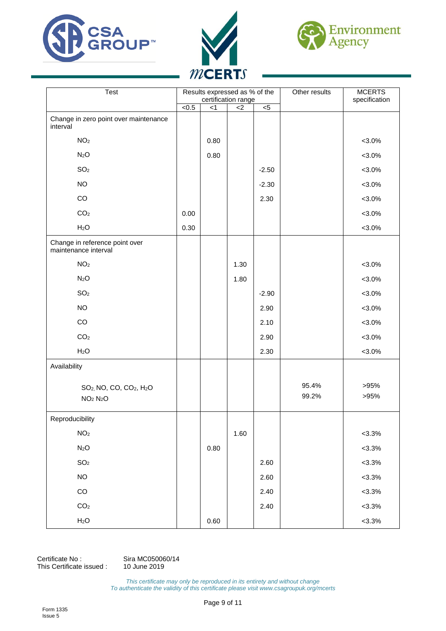





| Test                                                                                             | Results expressed as % of the<br>certification range |      |       |         | Other results  | <b>MCERTS</b><br>specification |
|--------------------------------------------------------------------------------------------------|------------------------------------------------------|------|-------|---------|----------------|--------------------------------|
|                                                                                                  | $\sqrt{6.5}$                                         | < 1  | $<$ 2 | $< 5$   |                |                                |
| Change in zero point over maintenance<br>interval                                                |                                                      |      |       |         |                |                                |
| NO <sub>2</sub>                                                                                  |                                                      | 0.80 |       |         |                | $< 3.0\%$                      |
| N <sub>2</sub> O                                                                                 |                                                      | 0.80 |       |         |                | $< 3.0\%$                      |
| SO <sub>2</sub>                                                                                  |                                                      |      |       | $-2.50$ |                | $< 3.0\%$                      |
| <b>NO</b>                                                                                        |                                                      |      |       | $-2.30$ |                | $< 3.0\%$                      |
| $_{\rm CO}$                                                                                      |                                                      |      |       | 2.30    |                | $< 3.0\%$                      |
| CO <sub>2</sub>                                                                                  | 0.00                                                 |      |       |         |                | $< 3.0\%$                      |
| H <sub>2</sub> O                                                                                 | 0.30                                                 |      |       |         |                | $< 3.0\%$                      |
| Change in reference point over<br>maintenance interval                                           |                                                      |      |       |         |                |                                |
| NO <sub>2</sub>                                                                                  |                                                      |      | 1.30  |         |                | $< 3.0\%$                      |
| N <sub>2</sub> O                                                                                 |                                                      |      | 1.80  |         |                | $< 3.0\%$                      |
| SO <sub>2</sub>                                                                                  |                                                      |      |       | $-2.90$ |                | $< 3.0\%$                      |
| <b>NO</b>                                                                                        |                                                      |      |       | 2.90    |                | $< 3.0\%$                      |
| $_{\rm CO}$                                                                                      |                                                      |      |       | 2.10    |                | $< 3.0\%$                      |
| CO <sub>2</sub>                                                                                  |                                                      |      |       | 2.90    |                | $< 3.0\%$                      |
| H <sub>2</sub> O                                                                                 |                                                      |      |       | 2.30    |                | $< 3.0\%$                      |
| Availability                                                                                     |                                                      |      |       |         |                |                                |
| SO <sub>2</sub> , NO, CO, CO <sub>2</sub> , H <sub>2</sub> O<br>NO <sub>2</sub> N <sub>2</sub> O |                                                      |      |       |         | 95.4%<br>99.2% | >95%<br>>95%                   |
| Reproducibility                                                                                  |                                                      |      |       |         |                |                                |
| NO <sub>2</sub>                                                                                  |                                                      |      | 1.60  |         |                | $< 3.3\%$                      |
| N <sub>2</sub> O                                                                                 |                                                      | 0.80 |       |         |                | $< 3.3\%$                      |
| $\mathsf{SO}_2$                                                                                  |                                                      |      |       | 2.60    |                | $< 3.3\%$                      |
| $NO$                                                                                             |                                                      |      |       | 2.60    |                | $< 3.3\%$                      |
| $_{\rm CO}$                                                                                      |                                                      |      |       | 2.40    |                | $< 3.3\%$                      |
| CO <sub>2</sub>                                                                                  |                                                      |      |       | 2.40    |                | $< 3.3\%$                      |
| $H_2O$                                                                                           |                                                      | 0.60 |       |         |                | $< 3.3\%$                      |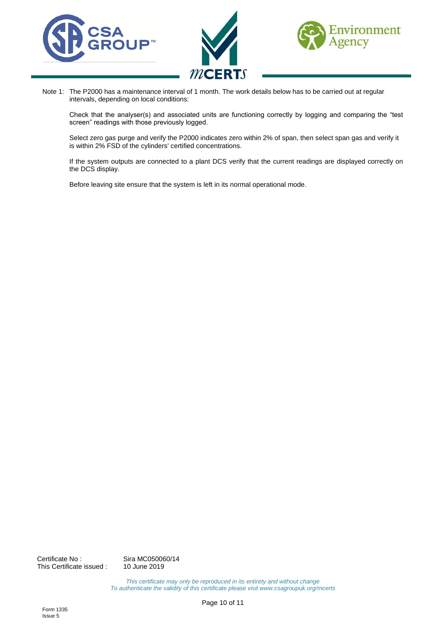





Note 1: The P2000 has a maintenance interval of 1 month. The work details below has to be carried out at regular intervals, depending on local conditions:

Check that the analyser(s) and associated units are functioning correctly by logging and comparing the "test screen" readings with those previously logged.

Select zero gas purge and verify the P2000 indicates zero within 2% of span, then select span gas and verify it is within 2% FSD of the cylinders' certified concentrations.

If the system outputs are connected to a plant DCS verify that the current readings are displayed correctly on the DCS display.

Before leaving site ensure that the system is left in its normal operational mode.

Certificate No : Sira MC050060/14 This Certificate issued : 10 June 2019